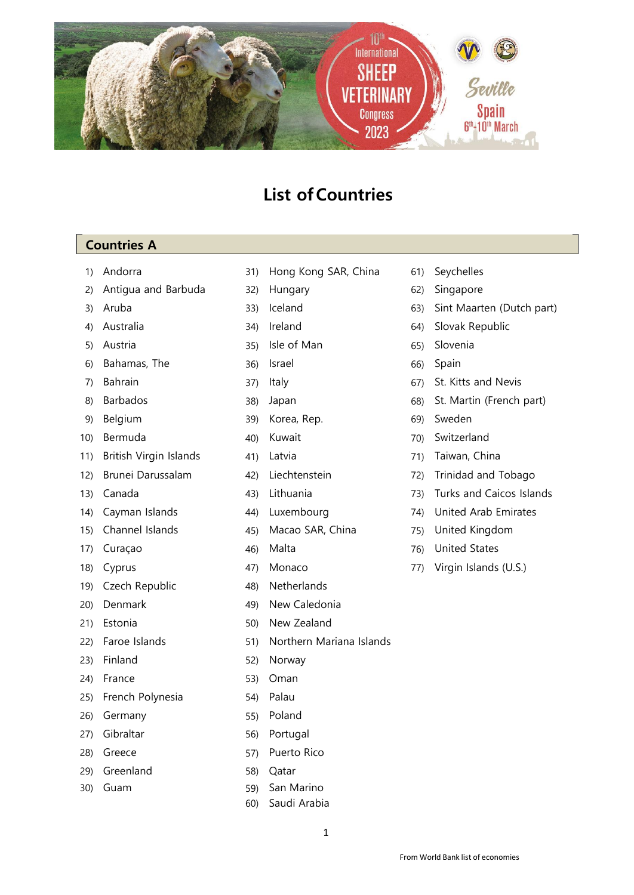

## **List ofCountries**

## **Countries A**

- 
- 2) Antigua and Barbuda 32) Hungary 62) Singapore
- 
- 
- 
- 6) Bahamas, The 36) Israel 66) Spain
- 
- 
- 
- 
- 11) British Virgin Islands 41) Latvia 11 (21) Taiwan, China
- 
- 
- 
- 
- 
- 
- 
- 
- 
- 
- 
- 24) France 53) Oman
- 25) French Polynesia 54) Palau
- 26) Germany 55) Poland
- 27) Gibraltar 56) Portugal
- 
- 29) Greenland 58) Qatar
- 
- 1) Andorra 31) Hong Kong SAR, China 61) Seychelles
	- -
		-
- 5) Austria 35) Isle of Man 65) Slovenia
	-
	-
	-
- 9) Belgium 39) Korea, Rep. 69) Sweden
	-
	-
	-
	-
	-
- 15) Channel Islands 45) Macao SAR, China 75) United Kingdom
	-
	-
- 19) Czech Republic 48) Netherlands
- 20) Denmark 49) New Caledonia
- 21) Estonia 600 500 New Zealand
- 22) Faroe Islands 51) Northern Mariana Islands
- 23) Finland 52) Norway
	-
	-
	-
	-
- 28) Greece 57) Puerto Rico
	-
- 30) Guam 59) San Marino
	- 60) Saudi Arabia
- 
- 
- 3) Aruba 33) Iceland 63) Sint Maarten (Dutch part)
- 4) Australia 34) Ireland 64) Slovak Republic
	-
	-
- 7) Bahrain 37) Italy 67) St. Kitts and Nevis
- 8) Barbados 38) Japan 68) St. Martin (French part)
	-
- 10) Bermuda 40) Kuwait 70) Switzerland
	-
- 12) Brunei Darussalam (42) Liechtenstein (72) Trinidad and Tobago
- 13) Canada 43) Lithuania 73) Turks and Caicos Islands
- 14) Cayman Islands 44) Luxembourg 74) United Arab Emirates
	-
- 17) Curaçao 46) Malta 76) United States
- 18) Cyprus 47) Monaco 77) Virgin Islands (U.S.)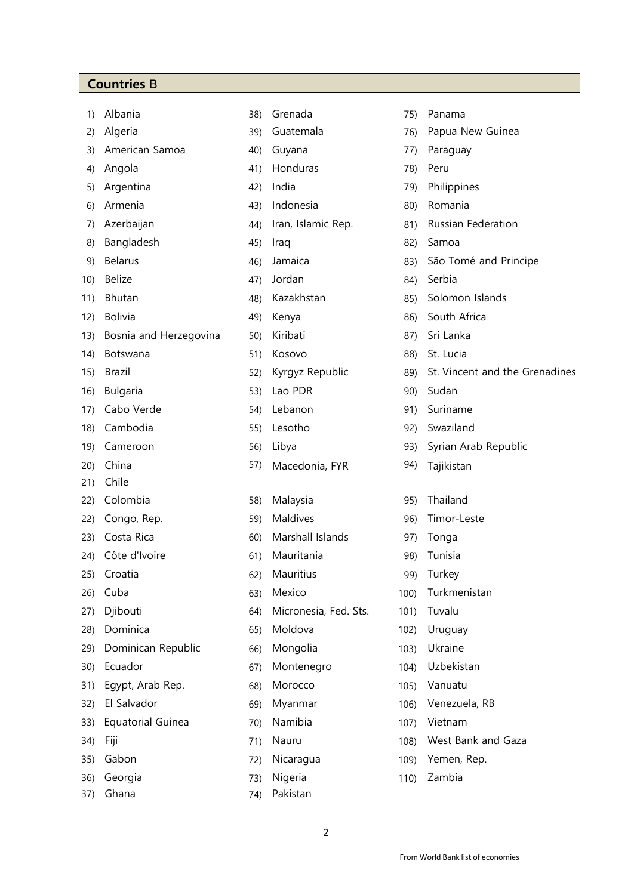## **Countries** B

|          | 1) Albania                 |  |  |
|----------|----------------------------|--|--|
|          | 2) Algeria                 |  |  |
|          | 3) American Samoa          |  |  |
|          | 4) Angola                  |  |  |
|          | 5) Argentina               |  |  |
|          | 6) Armenia                 |  |  |
|          | 7) Azerbaijan              |  |  |
|          | 8) Bangladesh              |  |  |
|          | 9) Belarus                 |  |  |
|          | 10) Belize                 |  |  |
|          | 11) Bhutan                 |  |  |
|          | 12) Bolivia                |  |  |
|          | 13) Bosnia and Herzegovina |  |  |
|          | 14) Botswana               |  |  |
|          | 15) Brazil                 |  |  |
|          | 16) Bulgaria               |  |  |
|          | 17) Cabo Verde             |  |  |
|          | 18) Cambodia               |  |  |
|          | 19) Cameroon               |  |  |
|          | 20) China                  |  |  |
|          | 21) Chile                  |  |  |
|          | 22) Colombia               |  |  |
|          | 22) Congo, Rep.            |  |  |
|          | 23) Costa Rica             |  |  |
|          | 24) Côte d'Ivoire          |  |  |
| 25)      | Croatia                    |  |  |
|          | 26) Cuba                   |  |  |
|          | 27) Djibouti               |  |  |
|          | 28) Dominica               |  |  |
|          | 29) Dominican Republic     |  |  |
|          | 30) Ecuador                |  |  |
|          | 31) Egypt, Arab Rep.       |  |  |
|          | 32) El Salvador            |  |  |
| 33)      | <b>Equatorial Guinea</b>   |  |  |
| 34) Fiji |                            |  |  |
|          | 35) Gabon                  |  |  |
|          | 36) Georgia                |  |  |

| 38) Grenada | 75) Panama |
|-------------|------------|

- 
- 
- 41) Honduras 78) Peru
- 
- 
- 
- 
- 
- 
- 
- 
- 
- 
- 
- 
- 
- 
- 
- 57) Macedonia, FYR 94) Tajikistan
- 22) Colombia 58) Malaysia 95) Thailand
- 23) Costa Rica 60) Marshall Islands 97) Tonga
- 
- 
- 
- 
- 
- 
- 
- 
- 33) Equatorial Guinea 70) Namibia 107) Vietnam
- 
- 
- 73) Nigeria 110) Zambia
- 37) Ghana 74) Pakistan
- 39) Guatemala 76) Papua New Guinea 40) Guyana 77) Paraguay 5) Argentina 42) India 79) Philippines 6) Armenia 43) Indonesia 80) Romania 44) Iran, Islamic Rep. 81) Russian Federation 45) Iraq 82) Samoa 46) Jamaica 83) São Tomé and Principe 47) Jordan 84) Serbia 48) Kazakhstan 85) Solomon Islands 49) Kenya **86**) South Africa 130) Kiribati 1300 Bosnia and Herzegovina and Herzegovina and Herzegovina and Herzegovina 67) Sri Lanka 14) Botswana 51) Kosovo 88) St. Lucia 52) Kyrgyz Republic 89) St. Vincent and the Grenadines 163) Lao PDR 90) Sudan 17) Lebanon 170 91) Suriname 18) Lesotho 192) Swaziland 193) Syrian Arab Republic 22) Maldives 69) Maldives 96) Timor-Leste 61) Mauritania 61) 98) Tunisia 62) Mauritius 99) Turkey 26) Cuba 63) Mexico 100) Turkmenistan 64) Micronesia, Fed. Sts. 101) Tuvalu 65) Moldova 102) Uruguay 29) Dominican Republic 66) Mongolia 103) Ukraine 67) Montenegro 104) Uzbekistan 31) Egypt, Arab Rep. 68) Morocco 105) Vanuatu 69) Myanmar 106) Venezuela, RB 34) Fiji 71) Nauru 108) West Bank and Gaza 72) Nicaragua 109) Yemen, Rep.